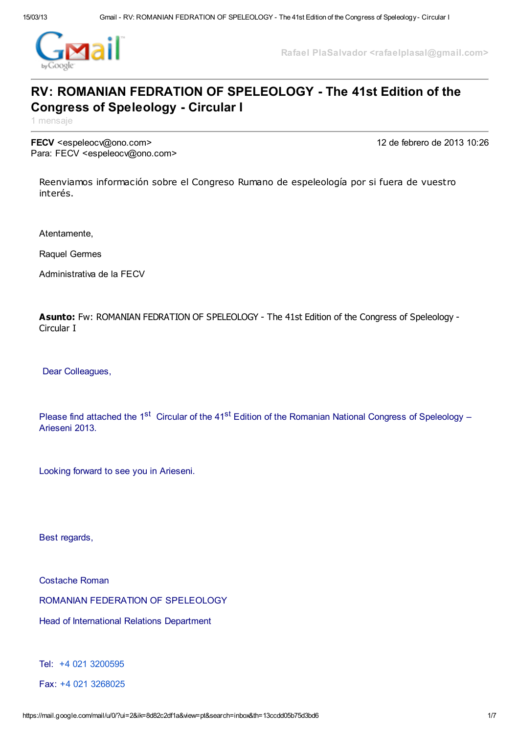

Rafael PlaSalvador <rafaelplasal@gmail.com>

# RV: ROMANIAN FEDRATION OF SPELEOLOGY - The 41st Edition of the Congress of Speleology - Circular I

1 mensaje

FECV <espeleocv@ono.com> 12 de febrero de 2013 10:26 Para: FECV <espeleocv@ono.com>

Reenviamos información sobre el Congreso Rumano de espeleología por si fuera de vuestro interés.

Atentamente,

Raquel Germes

Administrativa de la FECV

Asunto: Fw: ROMANIAN FEDRATION OF SPELEOLOGY - The 41st Edition of the Congress of Speleology - Circular I

Dear Colleagues,

Please find attached the 1<sup>st</sup> Circular of the 41<sup>st</sup> Edition of the Romanian National Congress of Speleology – Arieseni 2013.

Looking forward to see you in Arieseni.

Best regards,

Costache Roman

ROMANIAN FEDERATION OF SPELEOLOGY

Head of International Relations Department

Tel: +4 021 [3200595](tel:%2B4%20021%203200595)

Fax: +4 021 [3268025](tel:%2B4%20021%203268025)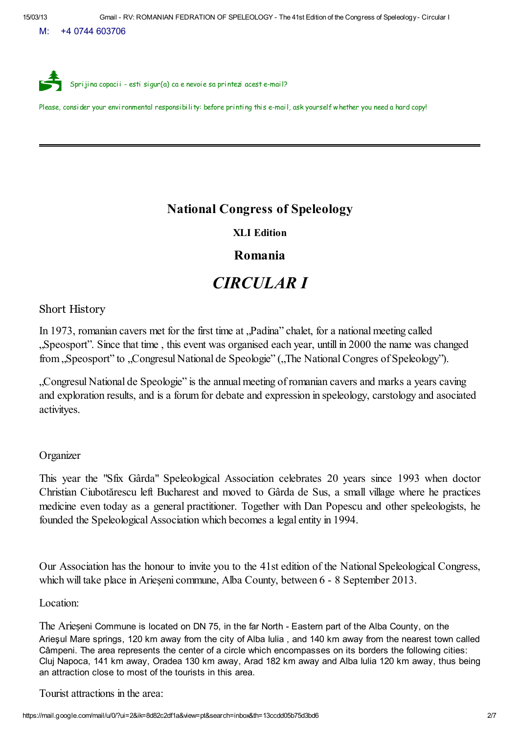M: +4 0744 603706



Please, consider your environmental responsibility: before printing this e-mail, ask yourself whether you need a hard copy!

## National Congress of Speleology

XLI Edition

## Romania

# *CIRCULAR I*

Short History

In 1973, romanian cavers met for the first time at "Padina" chalet, for a national meeting called "Speosport". Since that time , this event was organised each year, untill in 2000 the name was changed from "Speosport" to "Congresul National de Speologie" ("The National Congres of Speleology").

"Congresul National de Speologie" is the annual meeting of romanian cavers and marks a years caving and exploration results, and is a forum for debate and expression in speleology, carstology and asociated activityes.

#### **Organizer**

This year the "Sfix Gârda" Speleological Association celebrates 20 years since 1993 when doctor Christian Ciubotărescu left Bucharest and moved to Gârda de Sus, a small village where he practices medicine even today as a general practitioner. Together with Dan Popescu and other speleologists, he founded the Speleological Association which becomes a legal entity in 1994.

Our Association has the honour to invite you to the 41st edition of the National Speleological Congress, which will take place in Arieşeni commune, Alba County, between 6 - 8 September 2013.

Location:

The Arieșeni Commune is located on DN 75, in the far North - Eastern part of the Alba County, on the Arieşul Mare springs, 120 km away from the city of Alba Iulia , and 140 km away from the nearest town called Câmpeni. The area represents the center of a circle which encompasses on its borders the following cities: Cluj Napoca, 141 km away, Oradea 130 km away, Arad 182 km away and Alba Iulia 120 km away, thus being an attraction close to most of the tourists in this area.

Tourist attractions in the area: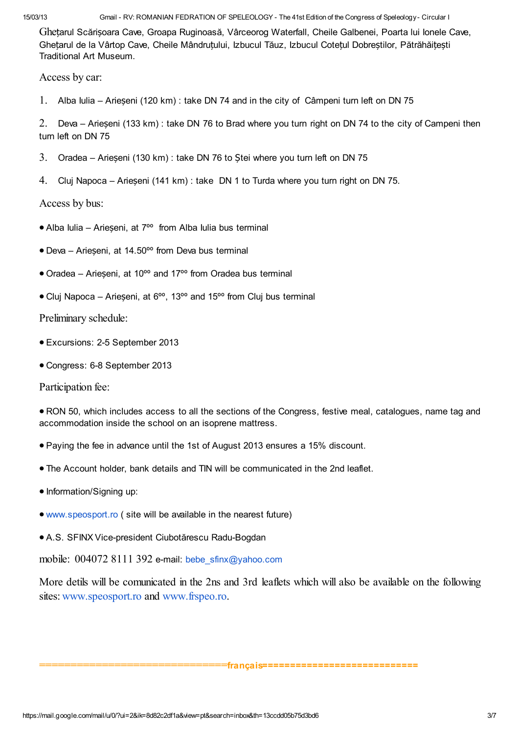15/03/13 Gmail - RV: ROMANIAN FEDRATION OF SPELEOLOGY - The 41st Edition of the Congress of Speleology - Circular I

Ghețarul Scărișoara Cave, Groapa Ruginoasă, Vârceorog Waterfall, Cheile Galbenei, Poarta lui Ionele Cave, Ghețarul de la Vârtop Cave, Cheile Mândruțului, Izbucul Tăuz, Izbucul Cotețul Dobreștilor, Pătrăhăițești Traditional Art Museum.

Access by car:

1. Alba Iulia – Arieșeni (120 km) : take DN 74 and in the city of Câmpeni turn left on DN 75

2. Deva – Arieșeni (133 km) : take DN 76 to Brad where you turn right on DN 74 to the city of Campeni then turn left on DN 75

- 3. Oradea Arieșeni (130 km) : take DN 76 to Ștei where you turn left on DN 75
- 4. Cluj Napoca Arieșeni (141 km) : take DN 1 to Turda where you turn right on DN 75.

Access by bus:

- · Alba Iulia Arieșeni, at 7ºº from Alba Iulia bus terminal
- · Deva Arieșeni, at 14.50ºº from Deva bus terminal
- · Oradea Arieșeni, at 10ºº and 17ºº from Oradea bus terminal
- · Cluj Napoca Arieșeni, at 6ºº, 13ºº and 15ºº from Cluj bus terminal

Preliminary schedule:

- · Excursions: 2-5 September 2013
- · Congress: 6-8 September 2013

Participation fee:

· RON 50, which includes access to all the sections of the Congress, festive meal, catalogues, name tag and accommodation inside the school on an isoprene mattress.

- · Paying the fee in advance until the 1st of August 2013 ensures a 15% discount.
- · The Account holder, bank details and TIN will be communicated in the 2nd leaflet.
- · Information/Signing up:
- · [www.speosport.ro](http://www.speosport.ro/) ( site will be available in the nearest future)
- · A.S. SFINX Vice-president Ciubotărescu Radu-Bogdan

mobile: 004072 8111 392 e-mail: [bebe\\_sfinx@yahoo.com](mailto:bebe_sfinx@yahoo.com)

More detils will be comunicated in the 2ns and 3rd leaflets which will also be available on the following sites: [www.speosport.ro](http://www.speosport.ro/) and [www.frspeo.ro](http://www.frspeo.ro/).

#### ==============================français============================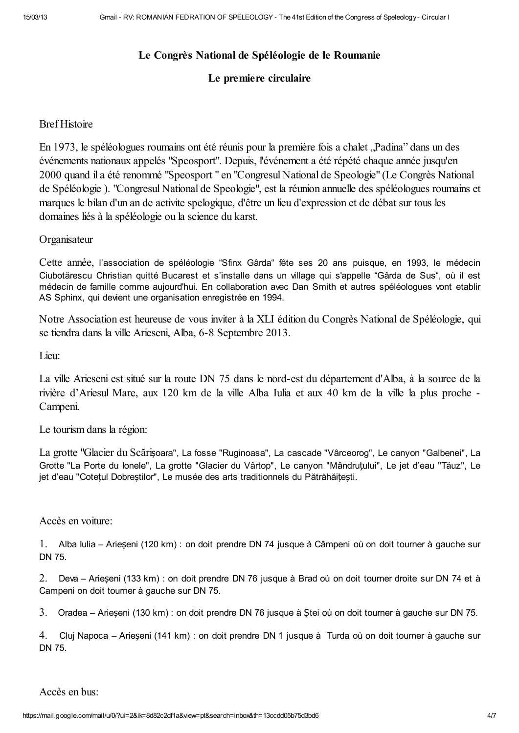## Le Congrès National de Spéléologie de le Roumanie

## Le premiere circulaire

### Bref Histoire

En 1973, le spéléologues roumains ont été réunis pour la première fois a chalet "Padina" dans un des événements nationaux appelés "Speosport". Depuis, l'événement a été répété chaque année jusqu'en 2000 quand il a été renommé "Speosport " en "Congresul National de Speologie" (Le Congrès National de Spéléologie ). "Congresul National de Speologie", est la réunion annuelle des spéléologues roumains et marques le bilan d'un an de activite spelogique, d'être un lieu d'expression et de débat sur tous les domaines liés à la spéléologie ou la science du karst.

**Organisateur** 

Cette année, l'association de spéléologie "Sfinx Gârda" fête ses 20 ans puisque, en 1993, le médecin Ciubotărescu Christian quitté Bucarest et s'installe dans un village qui s'appelle "Gârda de Sus", où il est médecin de famille comme aujourd'hui. En collaboration avec Dan Smith et autres spéléologues vont etablir AS Sphinx, qui devient une organisation enregistrée en 1994.

Notre Association est heureuse de vous inviter à la XLI édition du Congrès National de Spéléologie, qui se tiendra dans la ville Arieseni, Alba, 6-8 Septembre 2013.

Lieu:

La ville Arieseni est situé sur la route DN 75 dans le nord-est du département d'Alba, à la source de la rivière d'Ariesul Mare, aux 120 km de la ville Alba Iulia et aux 40 km de la ville la plus proche - Campeni.

Le tourism dans la région:

La grotte "Glacier du Scărișoara", La fosse "Ruginoasa", La cascade "Vârceorog", Le canyon "Galbenei", La Grotte "La Porte du Ionele", La grotte "Glacier du Vârtop", Le canyon "Mândruțului", Le jet d'eau "Tăuz", Le jet d'eau "Cotețul Dobreștilor", Le musée des arts traditionnels du Pătrăhăițești.

#### Accès en voiture:

1. Alba Iulia – Arieșeni (120 km) : on doit prendre DN 74 jusque à Câmpeni où on doit tourner à gauche sur DN 75.

2. Deva – Arieșeni (133 km) : on doit prendre DN 76 jusque à Brad où on doit tourner droite sur DN 74 et à Campeni on doit tourner à gauche sur DN 75.

3. Oradea – Arieșeni (130 km) : on doit prendre DN 76 jusque à Ștei où on doit tourner à gauche sur DN 75.

4. Cluj Napoca – Arieșeni (141 km) : on doit prendre DN 1 jusque à Turda où on doit tourner à gauche sur DN 75.

Accès en bus: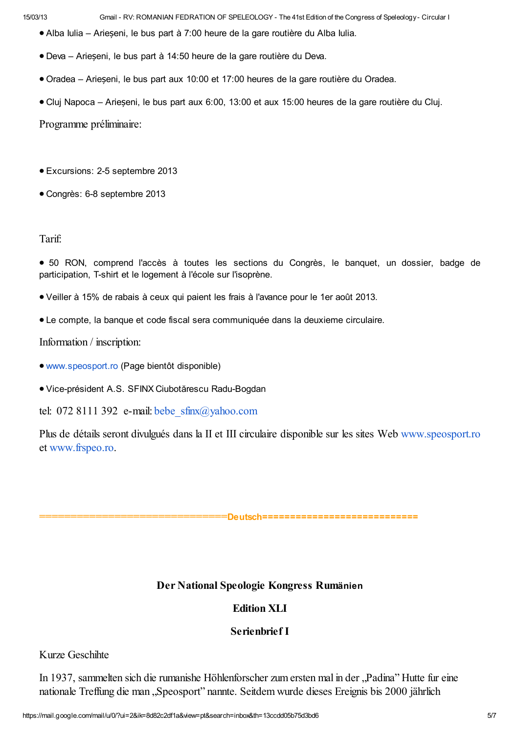15/03/13 Gmail - RV: ROMANIAN FEDRATION OF SPELEOLOGY - The 41st Edition of the Congress of Speleology - Circular I

- · Alba Iulia Arieșeni, le bus part à 7:00 heure de la gare routière du Alba Iulia.
- · Deva Arieșeni, le bus part à 14:50 heure de la gare routière du Deva.
- · Oradea Arieșeni, le bus part aux 10:00 et 17:00 heures de la gare routière du Oradea.
- · Cluj Napoca Arieșeni, le bus part aux 6:00, 13:00 et aux 15:00 heures de la gare routière du Cluj.

Programme préliminaire:

- · Excursions: 2-5 septembre 2013
- · Congrès: 6-8 septembre 2013

#### Tarif:

- · 50 RON, comprend l'accès à toutes les sections du Congrès, le banquet, un dossier, badge de participation, T-shirt et le logement à l'école sur l'isoprène.
- · Veiller à 15% de rabais à ceux qui paient les frais à l'avance pour le 1er août 2013.
- · Le compte, la banque et code fiscal sera communiquée dans la deuxieme circulaire.

#### Information / inscription:

- · [www.speosport.ro](http://www.speosport.ro/) (Page bientôt disponible)
- · Vice-président A.S. SFINX Ciubotărescu Radu-Bogdan

tel: 072 8111 392 e-mail: bebe  $s$ finx $(a)$ yahoo.com

Plus de détails seront divulgués dans la II et III circulaire disponible sur les sites Web [www.speosport.ro](http://www.speosport.ro/) et [www.frspeo.ro.](http://www.frspeo.ro/)

## =Deutsch=============================

## Der National Speologie Kongress Rumänien

## Edition XLI

#### Serienbrief I

## Kurze Geschihte

In 1937, sammelten sich die rumanishe Höhlenforscher zum ersten mal in der "Padina" Hutte fur eine nationale Treffung die man "Speosport" nannte. Seitdem wurde dieses Ereignis bis 2000 jährlich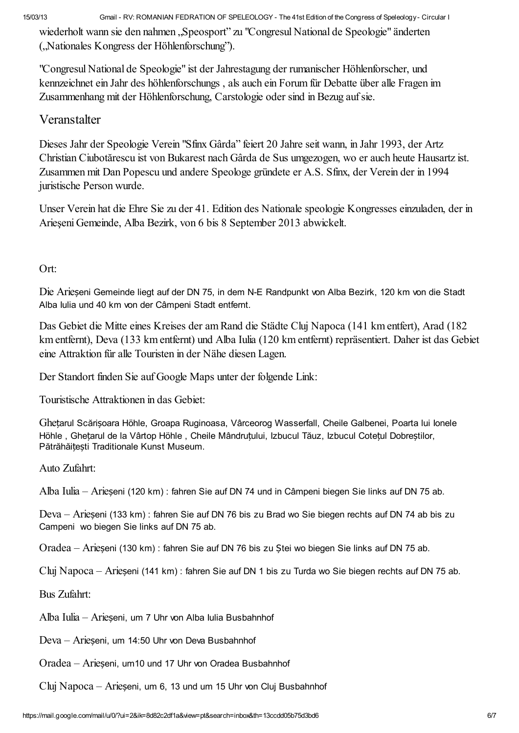15/03/13 Gmail - RV: ROMANIAN FEDRATION OF SPELEOLOGY - The 41st Edition of the Congress of Speleology - Circular I

wiederholt wann sie den nahmen "Speosport" zu "Congresul National de Speologie" änderten ("Nationales Kongress der Höhlenforschung").

"Congresul National de Speologie" ist der Jahrestagung der rumanischer Höhlenforscher, und kennzeichnet ein Jahr des höhlenforschungs , als auch ein Forum für Debatte über alle Fragen im Zusammenhang mit der Höhlenforschung, Carstologie oder sind in Bezug aufsie.

# Veranstalter

Dieses Jahr der Speologie Verein "Sfinx Gârda" feiert 20 Jahre seit wann, in Jahr 1993, der Artz Christian Ciubotărescu ist von Bukarest nach Gârda de Sus umgezogen, wo er auch heute Hausartz ist. Zusammen mit Dan Popescu und andere Speologe gründete er A.S. Sfinx, der Verein der in 1994 juristische Person wurde.

Unser Verein hat die Ehre Sie zu der 41. Edition des Nationale speologie Kongresses einzuladen, der in Arieşeni Gemeinde, Alba Bezirk, von 6 bis 8 September 2013 abwickelt.

## Ort:

Die Arieșeni Gemeinde liegt auf der DN 75, in dem N-E Randpunkt von Alba Bezirk, 120 km von die Stadt Alba Iulia und 40 km von der Câmpeni Stadt entfernt.

Das Gebiet die Mitte eines Kreises der am Rand die Städte Cluj Napoca (141 km entfert), Arad (182 km entfernt), Deva (133 km entfernt) und Alba Iulia (120 km entfernt) repräsentiert. Daher ist das Gebiet eine Attraktion für alle Touristen in der Nähe diesen Lagen.

Der Standort finden Sie auf Google Maps unter der folgende Link:

Touristische Attraktionen in das Gebiet:

Ghețarul Scărișoara Höhle, Groapa Ruginoasa, Vârceorog Wasserfall, Cheile Galbenei, Poarta lui Ionele Höhle , Ghețarul de la Vârtop Höhle , Cheile Mândruțului, Izbucul Tăuz, Izbucul Cotețul Dobreștilor, Pătrăhăițești Traditionale Kunst Museum.

Auto Zufahrt:

Alba Iulia – Arieșeni (120 km) : fahren Sie auf DN 74 und in Câmpeni biegen Sie links auf DN 75 ab.

Deva – Arieșeni (133 km) : fahren Sie auf DN 76 bis zu Brad wo Sie biegen rechts auf DN 74 ab bis zu Campeni wo biegen Sie links auf DN 75 ab.

Oradea – Arieșeni (130 km) : fahren Sie auf DN 76 bis zu Ștei wo biegen Sie links auf DN 75 ab.

Cluj Napoca – Arieșeni (141 km) : fahren Sie auf DN 1 bis zu Turda wo Sie biegen rechts auf DN 75 ab.

Bus Zufahrt:

Alba Iulia – Arieșeni, um 7 Uhr von Alba Iulia Busbahnhof

Deva – Arieșeni, um 14:50 Uhr von Deva Busbahnhof

Oradea – Arieșeni, um10 und 17 Uhr von Oradea Busbahnhof

Cluj Napoca – Arieșeni, um 6, 13 und um 15 Uhr von Cluj Busbahnhof